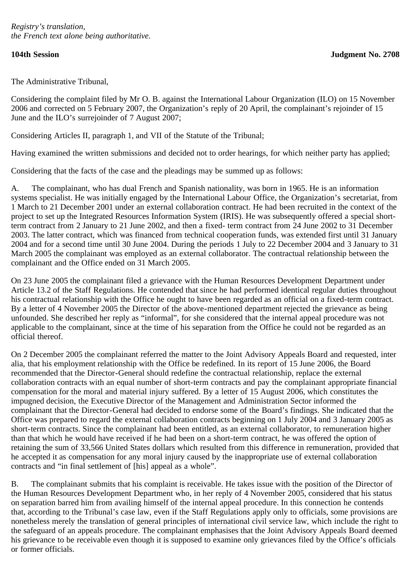The Administrative Tribunal,

Considering the complaint filed by Mr O. B. against the International Labour Organization (ILO) on 15 November 2006 and corrected on 5 February 2007, the Organization's reply of 20 April, the complainant's rejoinder of 15 June and the ILO's surrejoinder of 7 August 2007;

Considering Articles II, paragraph 1, and VII of the Statute of the Tribunal;

Having examined the written submissions and decided not to order hearings, for which neither party has applied;

Considering that the facts of the case and the pleadings may be summed up as follows:

A. The complainant, who has dual French and Spanish nationality, was born in 1965. He is an information systems specialist. He was initially engaged by the International Labour Office, the Organization's secretariat, from 1 March to 21 December 2001 under an external collaboration contract. He had been recruited in the context of the project to set up the Integrated Resources Information System (IRIS). He was subsequently offered a special shortterm contract from 2 January to 21 June 2002, and then a fixed- term contract from 24 June 2002 to 31 December 2003. The latter contract, which was financed from technical cooperation funds, was extended first until 31 January 2004 and for a second time until 30 June 2004. During the periods 1 July to 22 December 2004 and 3 January to 31 March 2005 the complainant was employed as an external collaborator. The contractual relationship between the complainant and the Office ended on 31 March 2005.

On 23 June 2005 the complainant filed a grievance with the Human Resources Development Department under Article 13.2 of the Staff Regulations. He contended that since he had performed identical regular duties throughout his contractual relationship with the Office he ought to have been regarded as an official on a fixed-term contract. By a letter of 4 November 2005 the Director of the above-mentioned department rejected the grievance as being unfounded. She described her reply as "informal", for she considered that the internal appeal procedure was not applicable to the complainant, since at the time of his separation from the Office he could not be regarded as an official thereof.

On 2 December 2005 the complainant referred the matter to the Joint Advisory Appeals Board and requested, inter alia, that his employment relationship with the Office be redefined. In its report of 15 June 2006, the Board recommended that the Director-General should redefine the contractual relationship, replace the external collaboration contracts with an equal number of short-term contracts and pay the complainant appropriate financial compensation for the moral and material injury suffered. By a letter of 15 August 2006, which constitutes the impugned decision, the Executive Director of the Management and Administration Sector informed the complainant that the Director-General had decided to endorse some of the Board's findings. She indicated that the Office was prepared to regard the external collaboration contracts beginning on 1 July 2004 and 3 January 2005 as short-term contracts. Since the complainant had been entitled, as an external collaborator, to remuneration higher than that which he would have received if he had been on a short-term contract, he was offered the option of retaining the sum of 33,566 United States dollars which resulted from this difference in remuneration, provided that he accepted it as compensation for any moral injury caused by the inappropriate use of external collaboration contracts and "in final settlement of [his] appeal as a whole".

B. The complainant submits that his complaint is receivable. He takes issue with the position of the Director of the Human Resources Development Department who, in her reply of 4 November 2005, considered that his status on separation barred him from availing himself of the internal appeal procedure. In this connection he contends that, according to the Tribunal's case law, even if the Staff Regulations apply only to officials, some provisions are nonetheless merely the translation of general principles of international civil service law, which include the right to the safeguard of an appeals procedure. The complainant emphasises that the Joint Advisory Appeals Board deemed his grievance to be receivable even though it is supposed to examine only grievances filed by the Office's officials or former officials.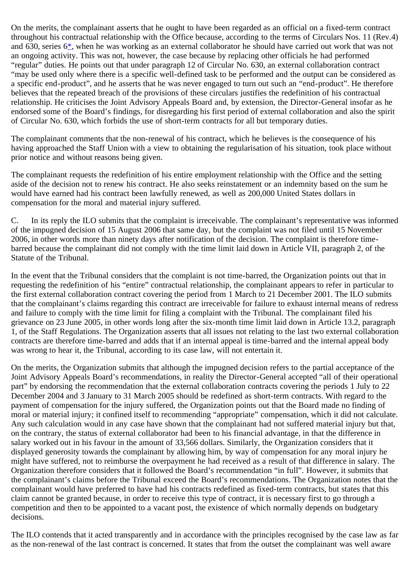<span id="page-1-0"></span>On the merits, the complainant asserts that he ought to have been regarded as an official on a fixed-term contract throughout his contractual relationship with the Office because, according to the terms of Circulars Nos. 11 (Rev.4) and 630, series 6[\\*,](#page-6-0) when he was working as an external collaborator he should have carried out work that was not an ongoing activity. This was not, however, the case because by replacing other officials he had performed "regular" duties. He points out that under paragraph 12 of Circular No. 630, an external collaboration contract "may be used only where there is a specific well-defined task to be performed and the output can be considered as a specific end-product", and he asserts that he was never engaged to turn out such an "end-product". He therefore believes that the repeated breach of the provisions of these circulars justifies the redefinition of his contractual relationship. He criticises the Joint Advisory Appeals Board and, by extension, the Director-General insofar as he endorsed some of the Board's findings, for disregarding his first period of external collaboration and also the spirit of Circular No. 630, which forbids the use of short-term contracts for all but temporary duties.

The complainant comments that the non-renewal of his contract, which he believes is the consequence of his having approached the Staff Union with a view to obtaining the regularisation of his situation, took place without prior notice and without reasons being given.

The complainant requests the redefinition of his entire employment relationship with the Office and the setting aside of the decision not to renew his contract. He also seeks reinstatement or an indemnity based on the sum he would have earned had his contract been lawfully renewed, as well as 200,000 United States dollars in compensation for the moral and material injury suffered.

C. In its reply the ILO submits that the complaint is irreceivable. The complainant's representative was informed of the impugned decision of 15 August 2006 that same day, but the complaint was not filed until 15 November 2006, in other words more than ninety days after notification of the decision. The complaint is therefore timebarred because the complainant did not comply with the time limit laid down in Article VII, paragraph 2, of the Statute of the Tribunal.

In the event that the Tribunal considers that the complaint is not time-barred, the Organization points out that in requesting the redefinition of his "entire" contractual relationship, the complainant appears to refer in particular to the first external collaboration contract covering the period from 1 March to 21 December 2001. The ILO submits that the complainant's claims regarding this contract are irreceivable for failure to exhaust internal means of redress and failure to comply with the time limit for filing a complaint with the Tribunal. The complainant filed his grievance on 23 June 2005, in other words long after the six-month time limit laid down in Article 13.2, paragraph 1, of the Staff Regulations. The Organization asserts that all issues not relating to the last two external collaboration contracts are therefore time-barred and adds that if an internal appeal is time-barred and the internal appeal body was wrong to hear it, the Tribunal, according to its case law, will not entertain it.

On the merits, the Organization submits that although the impugned decision refers to the partial acceptance of the Joint Advisory Appeals Board's recommendations, in reality the Director-General accepted "all of their operational part" by endorsing the recommendation that the external collaboration contracts covering the periods 1 July to 22 December 2004 and 3 January to 31 March 2005 should be redefined as short-term contracts. With regard to the payment of compensation for the injury suffered, the Organization points out that the Board made no finding of moral or material injury; it confined itself to recommending "appropriate" compensation, which it did not calculate. Any such calculation would in any case have shown that the complainant had not suffered material injury but that, on the contrary, the status of external collaborator had been to his financial advantage, in that the difference in salary worked out in his favour in the amount of 33,566 dollars. Similarly, the Organization considers that it displayed generosity towards the complainant by allowing him, by way of compensation for any moral injury he might have suffered, not to reimburse the overpayment he had received as a result of that difference in salary. The Organization therefore considers that it followed the Board's recommendation "in full". However, it submits that the complainant's claims before the Tribunal exceed the Board's recommendations. The Organization notes that the complainant would have preferred to have had his contracts redefined as fixed-term contracts, but states that this claim cannot be granted because, in order to receive this type of contract, it is necessary first to go through a competition and then to be appointed to a vacant post, the existence of which normally depends on budgetary decisions.

The ILO contends that it acted transparently and in accordance with the principles recognised by the case law as far as the non-renewal of the last contract is concerned. It states that from the outset the complainant was well aware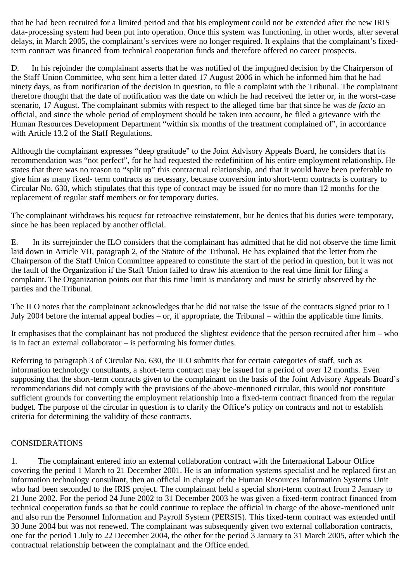that he had been recruited for a limited period and that his employment could not be extended after the new IRIS data-processing system had been put into operation. Once this system was functioning, in other words, after several delays, in March 2005, the complainant's services were no longer required. It explains that the complainant's fixedterm contract was financed from technical cooperation funds and therefore offered no career prospects.

D. In his rejoinder the complainant asserts that he was notified of the impugned decision by the Chairperson of the Staff Union Committee, who sent him a letter dated 17 August 2006 in which he informed him that he had ninety days, as from notification of the decision in question, to file a complaint with the Tribunal. The complainant therefore thought that the date of notification was the date on which he had received the letter or, in the worst-case scenario, 17 August. The complainant submits with respect to the alleged time bar that since he was *de facto* an official, and since the whole period of employment should be taken into account, he filed a grievance with the Human Resources Development Department "within six months of the treatment complained of", in accordance with Article 13.2 of the Staff Regulations.

Although the complainant expresses "deep gratitude" to the Joint Advisory Appeals Board, he considers that its recommendation was "not perfect", for he had requested the redefinition of his entire employment relationship. He states that there was no reason to "split up" this contractual relationship, and that it would have been preferable to give him as many fixed- term contracts as necessary, because conversion into short-term contracts is contrary to Circular No. 630, which stipulates that this type of contract may be issued for no more than 12 months for the replacement of regular staff members or for temporary duties.

The complainant withdraws his request for retroactive reinstatement, but he denies that his duties were temporary, since he has been replaced by another official.

E. In its surrejoinder the ILO considers that the complainant has admitted that he did not observe the time limit laid down in Article VII, paragraph 2, of the Statute of the Tribunal. He has explained that the letter from the Chairperson of the Staff Union Committee appeared to constitute the start of the period in question, but it was not the fault of the Organization if the Staff Union failed to draw his attention to the real time limit for filing a complaint. The Organization points out that this time limit is mandatory and must be strictly observed by the parties and the Tribunal.

The ILO notes that the complainant acknowledges that he did not raise the issue of the contracts signed prior to 1 July 2004 before the internal appeal bodies – or, if appropriate, the Tribunal – within the applicable time limits.

It emphasises that the complainant has not produced the slightest evidence that the person recruited after him – who is in fact an external collaborator – is performing his former duties.

Referring to paragraph 3 of Circular No. 630, the ILO submits that for certain categories of staff, such as information technology consultants, a short-term contract may be issued for a period of over 12 months. Even supposing that the short-term contracts given to the complainant on the basis of the Joint Advisory Appeals Board's recommendations did not comply with the provisions of the above-mentioned circular, this would not constitute sufficient grounds for converting the employment relationship into a fixed-term contract financed from the regular budget. The purpose of the circular in question is to clarify the Office's policy on contracts and not to establish criteria for determining the validity of these contracts.

# CONSIDERATIONS

1. The complainant entered into an external collaboration contract with the International Labour Office covering the period 1 March to 21 December 2001. He is an information systems specialist and he replaced first an information technology consultant, then an official in charge of the Human Resources Information Systems Unit who had been seconded to the IRIS project. The complainant held a special short-term contract from 2 January to 21 June 2002. For the period 24 June 2002 to 31 December 2003 he was given a fixed-term contract financed from technical cooperation funds so that he could continue to replace the official in charge of the above-mentioned unit and also run the Personnel Information and Payroll System (PERSIS). This fixed-term contract was extended until 30 June 2004 but was not renewed. The complainant was subsequently given two external collaboration contracts, one for the period 1 July to 22 December 2004, the other for the period 3 January to 31 March 2005, after which the contractual relationship between the complainant and the Office ended.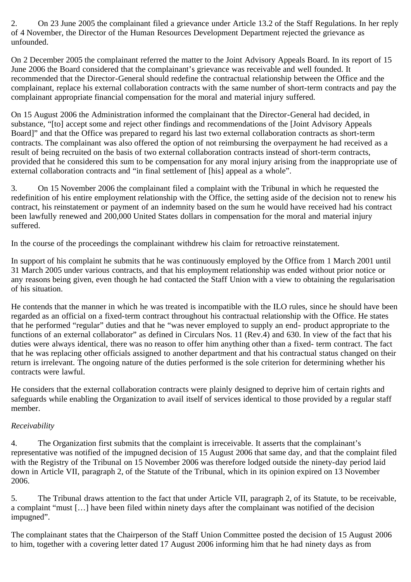2. On 23 June 2005 the complainant filed a grievance under Article 13.2 of the Staff Regulations. In her reply of 4 November, the Director of the Human Resources Development Department rejected the grievance as unfounded.

On 2 December 2005 the complainant referred the matter to the Joint Advisory Appeals Board. In its report of 15 June 2006 the Board considered that the complainant's grievance was receivable and well founded. It recommended that the Director-General should redefine the contractual relationship between the Office and the complainant, replace his external collaboration contracts with the same number of short-term contracts and pay the complainant appropriate financial compensation for the moral and material injury suffered.

On 15 August 2006 the Administration informed the complainant that the Director-General had decided, in substance, "[to] accept some and reject other findings and recommendations of the [Joint Advisory Appeals Board]" and that the Office was prepared to regard his last two external collaboration contracts as short-term contracts. The complainant was also offered the option of not reimbursing the overpayment he had received as a result of being recruited on the basis of two external collaboration contracts instead of short-term contracts, provided that he considered this sum to be compensation for any moral injury arising from the inappropriate use of external collaboration contracts and "in final settlement of [his] appeal as a whole".

3. On 15 November 2006 the complainant filed a complaint with the Tribunal in which he requested the redefinition of his entire employment relationship with the Office, the setting aside of the decision not to renew his contract, his reinstatement or payment of an indemnity based on the sum he would have received had his contract been lawfully renewed and 200,000 United States dollars in compensation for the moral and material injury suffered.

In the course of the proceedings the complainant withdrew his claim for retroactive reinstatement.

In support of his complaint he submits that he was continuously employed by the Office from 1 March 2001 until 31 March 2005 under various contracts, and that his employment relationship was ended without prior notice or any reasons being given, even though he had contacted the Staff Union with a view to obtaining the regularisation of his situation.

He contends that the manner in which he was treated is incompatible with the ILO rules, since he should have been regarded as an official on a fixed-term contract throughout his contractual relationship with the Office. He states that he performed "regular" duties and that he "was never employed to supply an end- product appropriate to the functions of an external collaborator" as defined in Circulars Nos. 11 (Rev.4) and 630. In view of the fact that his duties were always identical, there was no reason to offer him anything other than a fixed- term contract. The fact that he was replacing other officials assigned to another department and that his contractual status changed on their return is irrelevant. The ongoing nature of the duties performed is the sole criterion for determining whether his contracts were lawful.

He considers that the external collaboration contracts were plainly designed to deprive him of certain rights and safeguards while enabling the Organization to avail itself of services identical to those provided by a regular staff member.

# *Receivability*

4. The Organization first submits that the complaint is irreceivable. It asserts that the complainant's representative was notified of the impugned decision of 15 August 2006 that same day, and that the complaint filed with the Registry of the Tribunal on 15 November 2006 was therefore lodged outside the ninety-day period laid down in Article VII, paragraph 2, of the Statute of the Tribunal, which in its opinion expired on 13 November 2006.

5. The Tribunal draws attention to the fact that under Article VII, paragraph 2, of its Statute, to be receivable, a complaint "must […] have been filed within ninety days after the complainant was notified of the decision impugned".

The complainant states that the Chairperson of the Staff Union Committee posted the decision of 15 August 2006 to him, together with a covering letter dated 17 August 2006 informing him that he had ninety days as from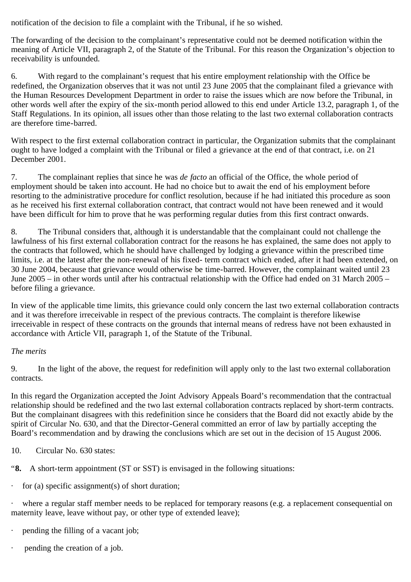notification of the decision to file a complaint with the Tribunal, if he so wished.

The forwarding of the decision to the complainant's representative could not be deemed notification within the meaning of Article VII, paragraph 2, of the Statute of the Tribunal. For this reason the Organization's objection to receivability is unfounded.

6. With regard to the complainant's request that his entire employment relationship with the Office be redefined, the Organization observes that it was not until 23 June 2005 that the complainant filed a grievance with the Human Resources Development Department in order to raise the issues which are now before the Tribunal, in other words well after the expiry of the six-month period allowed to this end under Article 13.2, paragraph 1, of the Staff Regulations. In its opinion, all issues other than those relating to the last two external collaboration contracts are therefore time-barred.

With respect to the first external collaboration contract in particular, the Organization submits that the complainant ought to have lodged a complaint with the Tribunal or filed a grievance at the end of that contract, i.e. on 21 December 2001.

7. The complainant replies that since he was *de facto* an official of the Office, the whole period of employment should be taken into account. He had no choice but to await the end of his employment before resorting to the administrative procedure for conflict resolution, because if he had initiated this procedure as soon as he received his first external collaboration contract, that contract would not have been renewed and it would have been difficult for him to prove that he was performing regular duties from this first contract onwards.

8. The Tribunal considers that, although it is understandable that the complainant could not challenge the lawfulness of his first external collaboration contract for the reasons he has explained, the same does not apply to the contracts that followed, which he should have challenged by lodging a grievance within the prescribed time limits, i.e. at the latest after the non-renewal of his fixed- term contract which ended, after it had been extended, on 30 June 2004, because that grievance would otherwise be time-barred. However, the complainant waited until 23 June 2005 – in other words until after his contractual relationship with the Office had ended on 31 March 2005 – before filing a grievance.

In view of the applicable time limits, this grievance could only concern the last two external collaboration contracts and it was therefore irreceivable in respect of the previous contracts. The complaint is therefore likewise irreceivable in respect of these contracts on the grounds that internal means of redress have not been exhausted in accordance with Article VII, paragraph 1, of the Statute of the Tribunal.

# *The merits*

9. In the light of the above, the request for redefinition will apply only to the last two external collaboration contracts.

In this regard the Organization accepted the Joint Advisory Appeals Board's recommendation that the contractual relationship should be redefined and the two last external collaboration contracts replaced by short-term contracts. But the complainant disagrees with this redefinition since he considers that the Board did not exactly abide by the spirit of Circular No. 630, and that the Director-General committed an error of law by partially accepting the Board's recommendation and by drawing the conclusions which are set out in the decision of 15 August 2006.

- 10. Circular No. 630 states:
- "**8.** A short-term appointment (ST or SST) is envisaged in the following situations:
- · for (a) specific assignment(s) of short duration;

· where a regular staff member needs to be replaced for temporary reasons (e.g. a replacement consequential on maternity leave, leave without pay, or other type of extended leave);

- pending the filling of a vacant job;
- pending the creation of a job.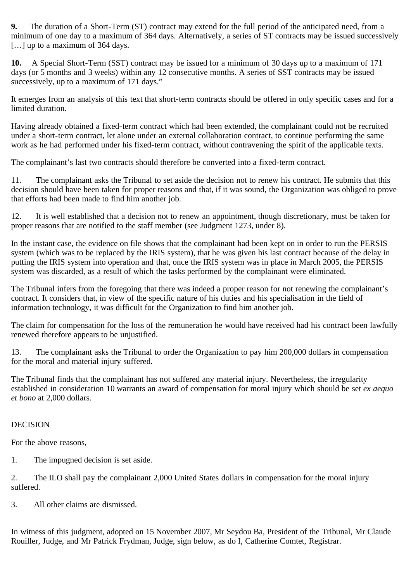**9.** The duration of a Short-Term (ST) contract may extend for the full period of the anticipated need, from a minimum of one day to a maximum of 364 days. Alternatively, a series of ST contracts may be issued successively [...] up to a maximum of 364 days.

**10.** A Special Short-Term (SST) contract may be issued for a minimum of 30 days up to a maximum of 171 days (or 5 months and 3 weeks) within any 12 consecutive months. A series of SST contracts may be issued successively, up to a maximum of 171 days."

It emerges from an analysis of this text that short-term contracts should be offered in only specific cases and for a limited duration.

Having already obtained a fixed-term contract which had been extended, the complainant could not be recruited under a short-term contract, let alone under an external collaboration contract, to continue performing the same work as he had performed under his fixed-term contract, without contravening the spirit of the applicable texts.

The complainant's last two contracts should therefore be converted into a fixed-term contract.

11. The complainant asks the Tribunal to set aside the decision not to renew his contract. He submits that this decision should have been taken for proper reasons and that, if it was sound, the Organization was obliged to prove that efforts had been made to find him another job.

12. It is well established that a decision not to renew an appointment, though discretionary, must be taken for proper reasons that are notified to the staff member (see Judgment 1273, under 8).

In the instant case, the evidence on file shows that the complainant had been kept on in order to run the PERSIS system (which was to be replaced by the IRIS system), that he was given his last contract because of the delay in putting the IRIS system into operation and that, once the IRIS system was in place in March 2005, the PERSIS system was discarded, as a result of which the tasks performed by the complainant were eliminated.

The Tribunal infers from the foregoing that there was indeed a proper reason for not renewing the complainant's contract. It considers that, in view of the specific nature of his duties and his specialisation in the field of information technology, it was difficult for the Organization to find him another job.

The claim for compensation for the loss of the remuneration he would have received had his contract been lawfully renewed therefore appears to be unjustified.

13. The complainant asks the Tribunal to order the Organization to pay him 200,000 dollars in compensation for the moral and material injury suffered.

The Tribunal finds that the complainant has not suffered any material injury. Nevertheless, the irregularity established in consideration 10 warrants an award of compensation for moral injury which should be set *ex aequo et bono* at 2,000 dollars.

# DECISION

For the above reasons,

1. The impugned decision is set aside.

2. The ILO shall pay the complainant 2,000 United States dollars in compensation for the moral injury suffered.

3. All other claims are dismissed.

In witness of this judgment, adopted on 15 November 2007, Mr Seydou Ba, President of the Tribunal, Mr Claude Rouiller, Judge, and Mr Patrick Frydman, Judge, sign below, as do I, Catherine Comtet, Registrar.